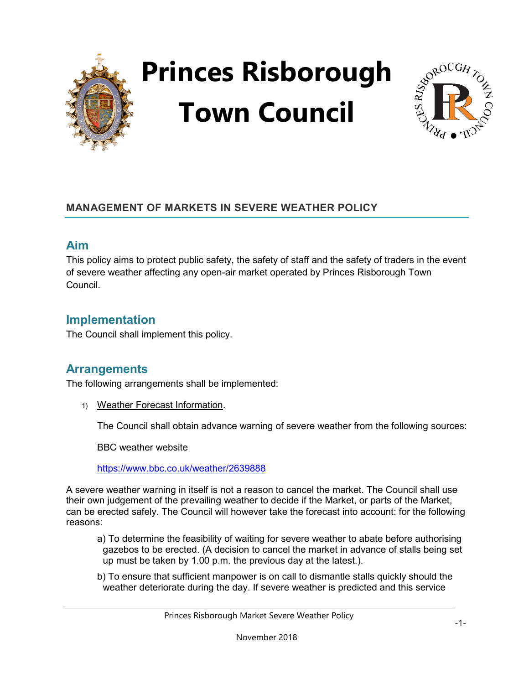



### **MANAGEMENT OF MARKETS IN SEVERE WEATHER POLICY**

### **Aim**

This policy aims to protect public safety, the safety of staff and the safety of traders in the event of severe weather affecting any open-air market operated by Princes Risborough Town Council.

## **Implementation**

The Council shall implement this policy.

## **Arrangements**

The following arrangements shall be implemented:

1) Weather Forecast Information.

The Council shall obtain advance warning of severe weather from the following sources:

BBC weather website

<https://www.bbc.co.uk/weather/2639888>

A severe weather warning in itself is not a reason to cancel the market. The Council shall use their own judgement of the prevailing weather to decide if the Market, or parts of the Market, can be erected safely. The Council will however take the forecast into account: for the following reasons:

- a) To determine the feasibility of waiting for severe weather to abate before authorising gazebos to be erected. (A decision to cancel the market in advance of stalls being set up must be taken by 1.00 p.m. the previous day at the latest.).
- b) To ensure that sufficient manpower is on call to dismantle stalls quickly should the weather deteriorate during the day. If severe weather is predicted and this service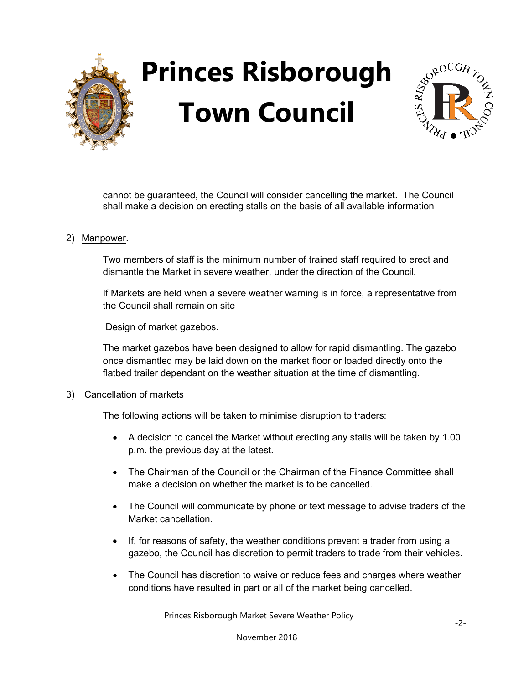



cannot be guaranteed, the Council will consider cancelling the market. The Council shall make a decision on erecting stalls on the basis of all available information

#### 2) Manpower.

Two members of staff is the minimum number of trained staff required to erect and dismantle the Market in severe weather, under the direction of the Council.

If Markets are held when a severe weather warning is in force, a representative from the Council shall remain on site

#### Design of market gazebos.

The market gazebos have been designed to allow for rapid dismantling. The gazebo once dismantled may be laid down on the market floor or loaded directly onto the flatbed trailer dependant on the weather situation at the time of dismantling.

#### 3) Cancellation of markets

The following actions will be taken to minimise disruption to traders:

- A decision to cancel the Market without erecting any stalls will be taken by 1.00 p.m. the previous day at the latest.
- The Chairman of the Council or the Chairman of the Finance Committee shall make a decision on whether the market is to be cancelled.
- The Council will communicate by phone or text message to advise traders of the Market cancellation.
- If, for reasons of safety, the weather conditions prevent a trader from using a gazebo, the Council has discretion to permit traders to trade from their vehicles.
- The Council has discretion to waive or reduce fees and charges where weather conditions have resulted in part or all of the market being cancelled.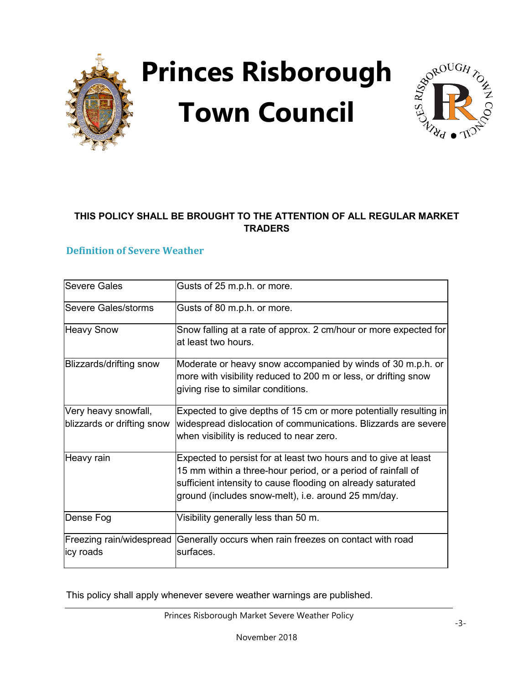



### **THIS POLICY SHALL BE BROUGHT TO THE ATTENTION OF ALL REGULAR MARKET TRADERS**

### **Definition of Severe Weather**

| lSevere Gales              | Gusts of 25 m.p.h. or more.                                                                                                                                          |
|----------------------------|----------------------------------------------------------------------------------------------------------------------------------------------------------------------|
|                            |                                                                                                                                                                      |
| Severe Gales/storms        | Gusts of 80 m.p.h. or more.                                                                                                                                          |
| <b>Heavy Snow</b>          | Snow falling at a rate of approx. 2 cm/hour or more expected for<br>at least two hours.                                                                              |
| Blizzards/drifting snow    | Moderate or heavy snow accompanied by winds of 30 m.p.h. or<br>more with visibility reduced to 200 m or less, or drifting snow<br>giving rise to similar conditions. |
| Very heavy snowfall,       | Expected to give depths of 15 cm or more potentially resulting in                                                                                                    |
| blizzards or drifting snow | widespread dislocation of communications. Blizzards are severe                                                                                                       |
|                            | when visibility is reduced to near zero.                                                                                                                             |
| Heavy rain                 | Expected to persist for at least two hours and to give at least                                                                                                      |
|                            | 15 mm within a three-hour period, or a period of rainfall of                                                                                                         |
|                            | sufficient intensity to cause flooding on already saturated                                                                                                          |
|                            | ground (includes snow-melt), i.e. around 25 mm/day.                                                                                                                  |
| Dense Fog                  | Visibility generally less than 50 m.                                                                                                                                 |
| Freezing rain/widespread   | Generally occurs when rain freezes on contact with road                                                                                                              |
| <b>icy roads</b>           | surfaces.                                                                                                                                                            |

This policy shall apply whenever severe weather warnings are published.

Princes Risborough Market Severe Weather Policy